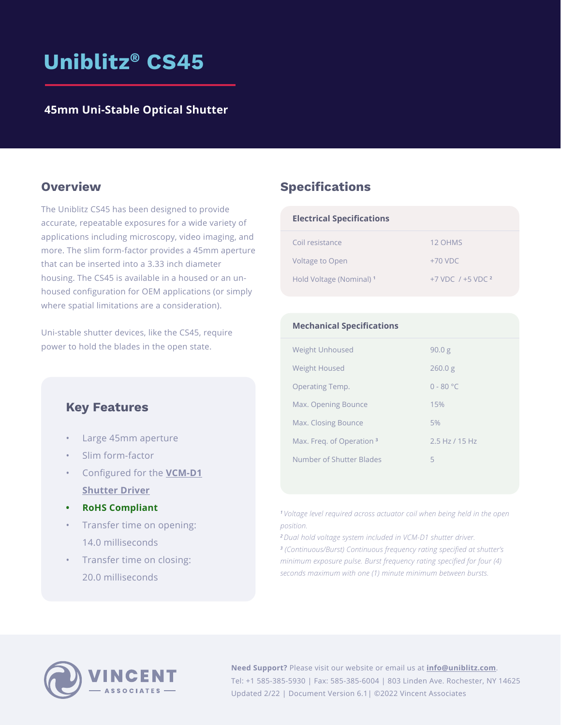# **Uniblitz® CS45**

#### **45mm Uni-Stable Optical Shutter**

The Uniblitz CS45 has been designed to provide accurate, repeatable exposures for a wide variety of applications including microscopy, video imaging, and more. The slim form-factor provides a 45mm aperture that can be inserted into a 3.33 inch diameter housing. The CS45 is available in a housed or an unhoused configuration for OEM applications (or simply where spatial limitations are a consideration).

Uni-stable shutter devices, like the CS45, require power to hold the blades in the open state.

#### **Key Features**

- Large 45mm aperture
- Slim form-factor
- Configured for the **VCM-D1 Shutter Driver**
- **• RoHS Compliant**
- Transfer time on opening: 14.0 milliseconds
- Transfer time on closing: 20.0 milliseconds

### **Overview <b>Specifications**

| <b>Electrical Specifications</b>    |                         |  |
|-------------------------------------|-------------------------|--|
| Coil resistance                     | 12 OHMS                 |  |
| Voltage to Open                     | $+70$ VDC               |  |
| Hold Voltage (Nominal) <sup>1</sup> | $+7$ VDC $/ +5$ VDC $2$ |  |

| <b>Mechanical Specifications</b>     |                   |
|--------------------------------------|-------------------|
| <b>Weight Unhoused</b>               | 90.0 <sub>g</sub> |
| <b>Weight Housed</b>                 | 260.0 g           |
| Operating Temp.                      | $0 - 80 °C$       |
| Max. Opening Bounce                  | 15%               |
| Max. Closing Bounce                  | 5%                |
| Max. Freq. of Operation <sup>3</sup> | $2.5 H7$ /15 Hz   |
| Number of Shutter Blades             | 5                 |

*<sup>1</sup>Voltage level required across actuator coil when being held in the open position.*

*<sup>2</sup>Dual hold voltage system included in [VCM-D1 shutter driver](https://www.uniblitz.com/products/vcm-d1-shutter-driver/).*

*3 (Continuous/Burst) Continuous frequency rating specified at shutter's minimum exposure pulse. Burst frequency rating specified for four (4) seconds maximum with one (1) minute minimum between bursts.*



**Need Support?** Please visit our website or email us at **[info@uniblitz.com](mailto:info%40uniblitz.com?subject=)**. Tel: +1 585-385-5930 | Fax: 585-385-6004 | 803 Linden Ave. Rochester, NY 14625 Updated 2/22 | Document Version 6.1| ©2022 Vincent Associates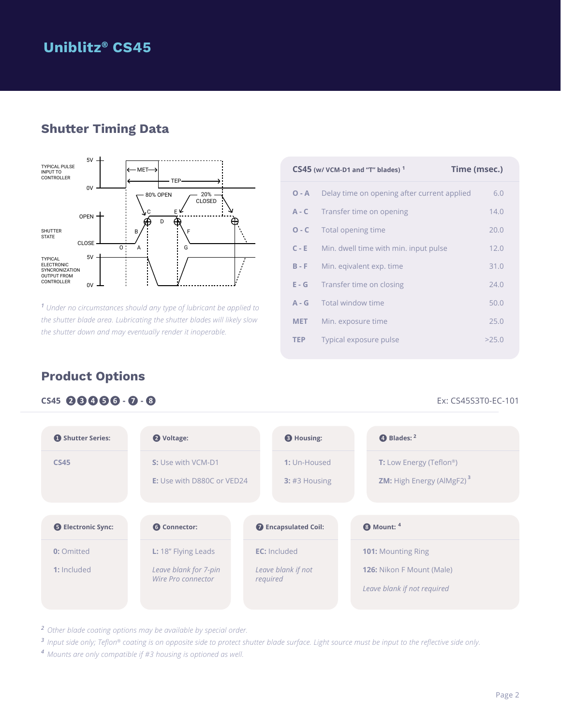# **Uniblitz® CS45**

### **Shutter Timing Data**



*1 Under no circumstances should any type of lubricant be applied to the shutter blade area. Lubricating the shutter blades will likely slow the shutter down and may eventually render it inoperable.*

|            | $CS45$ (w/ VCM-D1 and "T" blades) <sup>1</sup> | Time (msec.) |
|------------|------------------------------------------------|--------------|
| $O - A$    | Delay time on opening after current applied    | 6.0          |
| $A - C$    | Transfer time on opening                       | 14.0         |
| $O - C$    | Total opening time                             | 20.0         |
| $C - E$    | Min. dwell time with min. input pulse          | 12.0         |
| $B - F$    | Min. eqivalent exp. time                       | 31.0         |
| $E - G$    | Transfer time on closing                       | 24.0         |
| $A - G$    | Total window time                              | 50.0         |
| <b>MET</b> | Min. exposure time                             | 25.0         |
| <b>TEP</b> | Typical exposure pulse                         | >25.0        |

## **Product Options**

#### **CS45 ❷❸❹❺❻ - ❼ - ❽** Ex: CS45S3T0-EC-101

| Shutter Series:           | 2 Voltage:                                              | <b>B</b> Housing:             | $\bullet$ Blades: $2$                                                                       |
|---------------------------|---------------------------------------------------------|-------------------------------|---------------------------------------------------------------------------------------------|
| <b>CS45</b>               | S: Use with VCM-D1<br><b>E:</b> Use with D880C or VED24 | 1: Un-Housed<br>3: #3 Housing | <b>T:</b> Low Energy (Teflon <sup>®</sup> )<br><b>ZM:</b> High Energy (AlMgF2) <sup>3</sup> |
| <b>B</b> Electronic Sync: | <b>6</b> Connector:                                     | <b>O</b> Encapsulated Coil:   | $\odot$ Mount: $4$                                                                          |
|                           |                                                         |                               |                                                                                             |

*<sup>2</sup> Other blade coating options may be available by special order.*

*<sup>3</sup> Input side only; Teflon® coating is on opposite side to protect shutter blade surface. Light source must be input to the reflective side only.*

*<sup>4</sup> Mounts are only compatible if #3 housing is optioned as well.*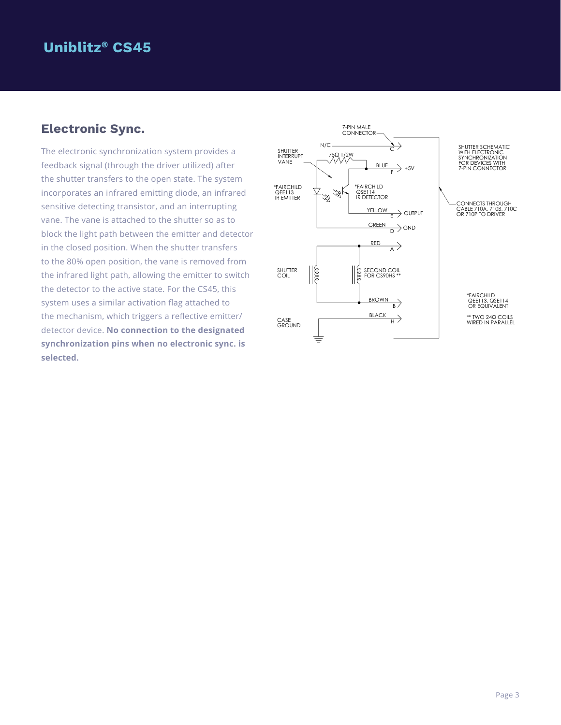# **Uniblitz® CS45**

### **Electronic Sync.**

The electronic synchronization system provides a feedback signal (through the driver utilized) after the shutter transfers to the open state. The system incorporates an infrared emitting diode, an infrared sensitive detecting transistor, and an interrupting vane. The vane is attached to the shutter so as to block the light path between the emitter and detector in the closed position. When the shutter transfers to the 80% open position, the vane is removed from the infrared light path, allowing the emitter to switch the detector to the active state. For the CS45, this system uses a similar activation flag attached to the mechanism, which triggers a reflective emitter/ detector device. **No connection to the designated synchronization pins when no electronic sync. is selected.**

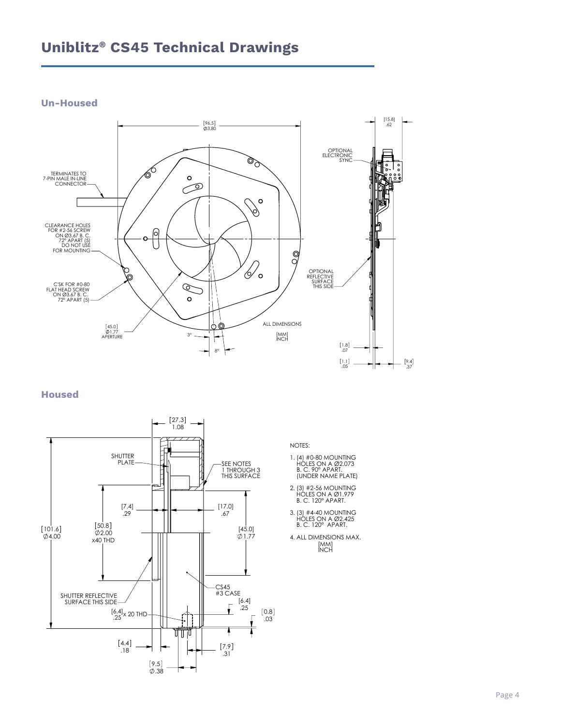# **Uniblitz® CS45 Technical Drawings**

**Un-Housed**



**Housed**



NOTES:

- 1. (4) #0-80 MOUNTING HOLES ON A Ø2.073 B. C. 90° APART. (UNDER NAME PLATE)
- 2. (3) #2-56 MOUNTING HOLES ON A Ø1.979 B. C. 120° APART.
- 3. (3) #4-40 MOUNTING HOLES ON A Ø2.425 B. C. 120° APART.
- 4. ALL DIMENSIONS MAX. [MM] INCH